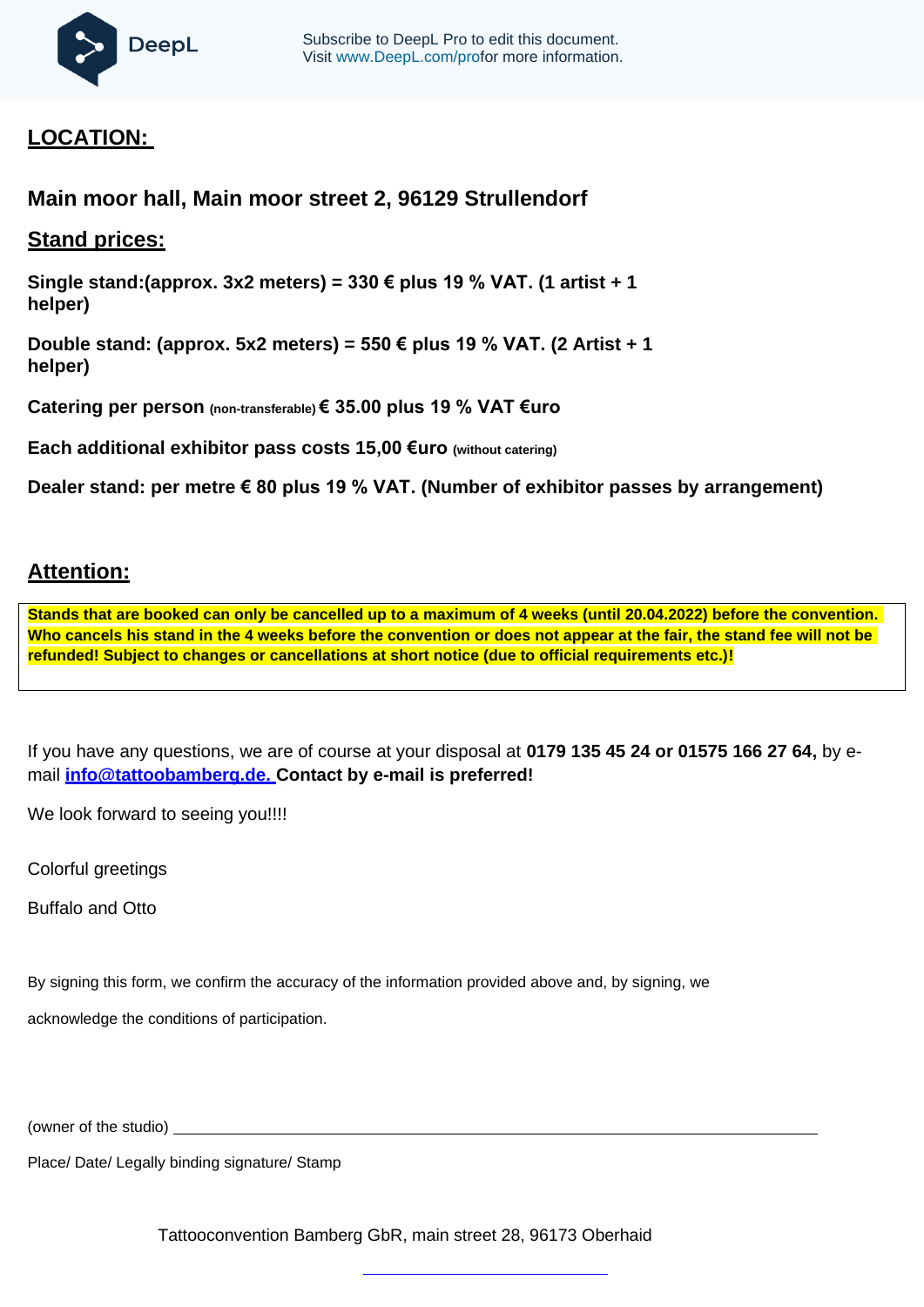

## **LOCATION:**

**Main moor hall, Main moor street 2, 96129 Strullendorf** 

## **Stand prices:**

**Single stand:(approx. 3x2 meters) = 330 € plus 19 % VAT. (1 artist + 1 helper)** 

**Double stand: (approx. 5x2 meters) = 550 € plus 19 % VAT. (2 Artist + 1 helper)** 

**Catering per person (non-transferable) € 35.00 plus 19 % VAT €uro**

**Each additional exhibitor pass costs 15,00 €uro (without catering)**

**Dealer stand: per metre € 80 plus 19 % VAT. (Number of exhibitor passes by arrangement)**

## **Attention:**

**Stands that are booked can only be cancelled up to a maximum of 4 weeks (until 20.04.2022) before the convention. Who cancels his stand in the 4 weeks before the convention or does not appear at the fair, the stand fee will not be refunded! Subject to changes or cancellations at short notice (due to official requirements etc.)!**

If you have any questions, we are of course at your disposal at **0179 135 45 24 or 01575 166 27 64,** by email **info@tattoobamberg.de. Contact by e-mail is preferred!**

We look forward to seeing you!!!!

Colorful greetings

Buffalo and Otto

By signing this form, we confirm the accuracy of the information provided above and, by signing, we

acknowledge the conditions of participation.

(owner of the studio)

Place/ Date/ Legally binding signature/ Stamp

Tattooconvention Bamberg GbR, main street 28, 96173 Oberhaid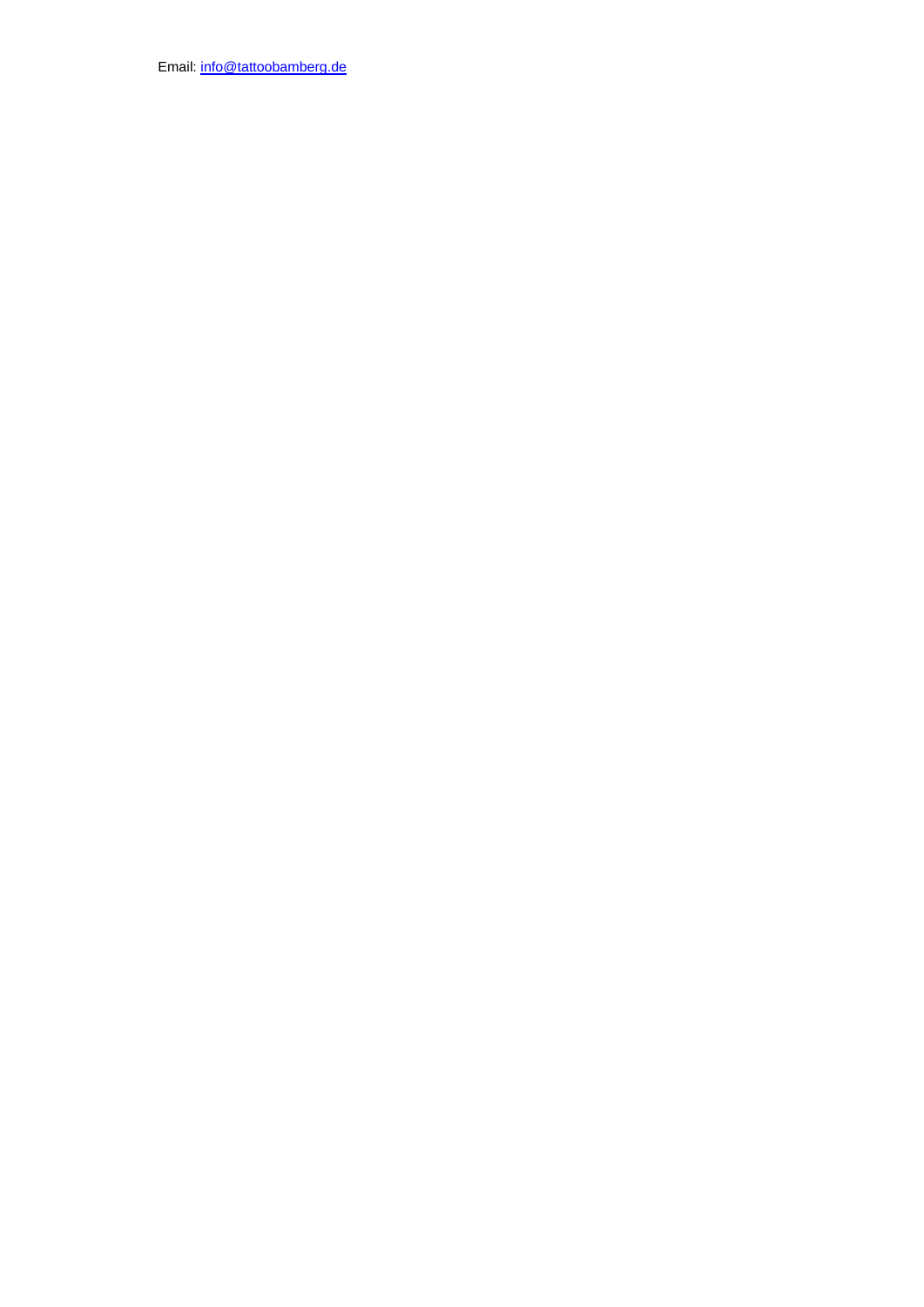Email: [info@tattoobamberg.de](mailto:info@tattoobamberg.de)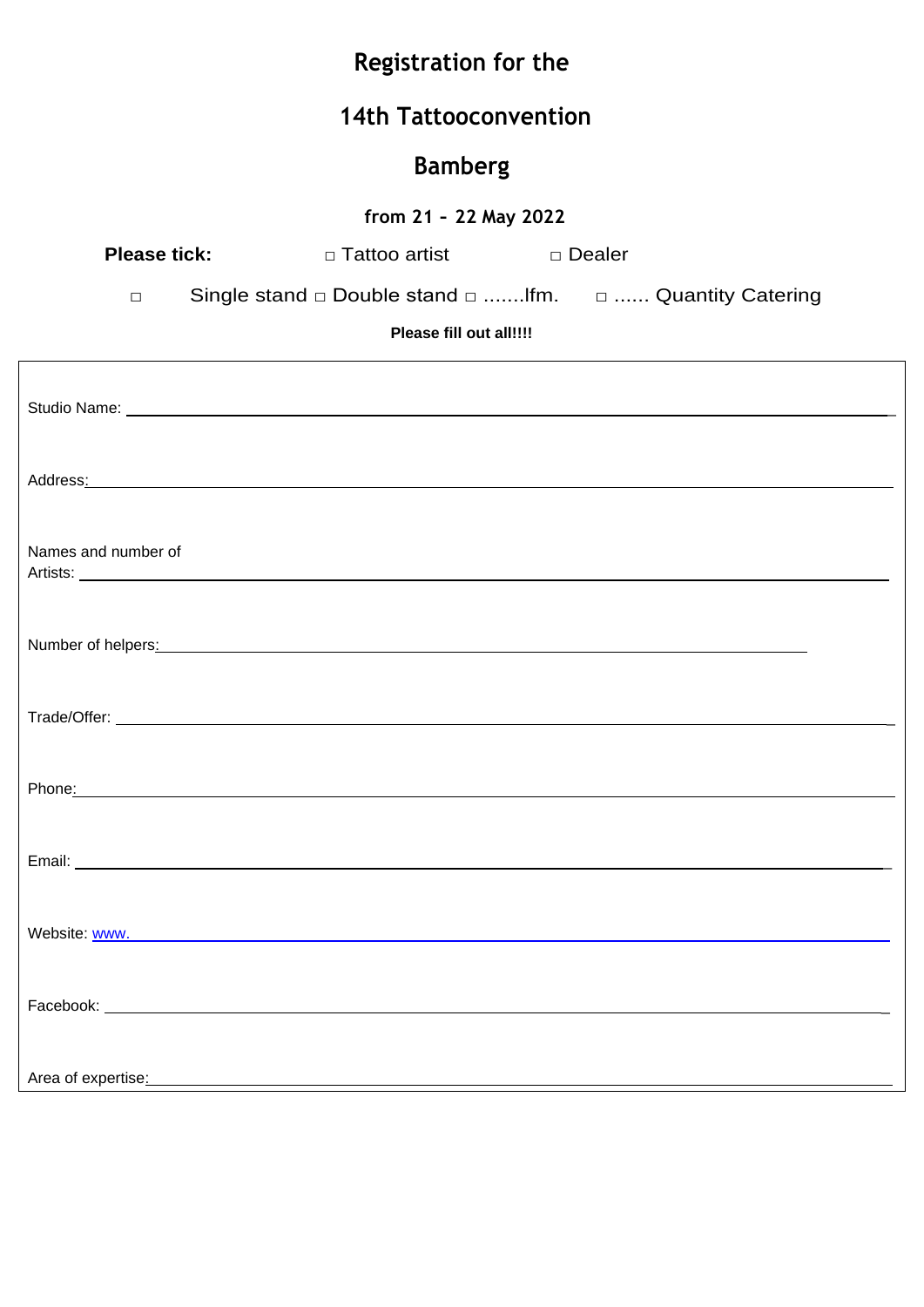| Registration for the                                                                                                                                                                                                           |  |
|--------------------------------------------------------------------------------------------------------------------------------------------------------------------------------------------------------------------------------|--|
| <b>14th Tattooconvention</b>                                                                                                                                                                                                   |  |
| <b>Bamberg</b>                                                                                                                                                                                                                 |  |
| from 21 - 22 May 2022                                                                                                                                                                                                          |  |
| <b>Please tick:</b>                                                                                                                                                                                                            |  |
| Single stand $\Box$ Double stand $\Box$ Ifm. $\Box$ Quantity Catering<br>$\Box$                                                                                                                                                |  |
| Please fill out all!!!!                                                                                                                                                                                                        |  |
|                                                                                                                                                                                                                                |  |
|                                                                                                                                                                                                                                |  |
| Names and number of                                                                                                                                                                                                            |  |
| Number of helpers: Number of helpers: Number of helpers: Number of helpers: Number of helpers: Number of helpers: Number of helpers: Number of helpers: Number of helpers: Number of the Number of the Number of the Number of |  |
|                                                                                                                                                                                                                                |  |
| Phone: <u>www.communications.com and the communications</u>                                                                                                                                                                    |  |
|                                                                                                                                                                                                                                |  |
| Website: www.                                                                                                                                                                                                                  |  |
|                                                                                                                                                                                                                                |  |
| Area of expertise: <u>contract and a set of expertise of experimental and a set of expertise of expertise</u>                                                                                                                  |  |